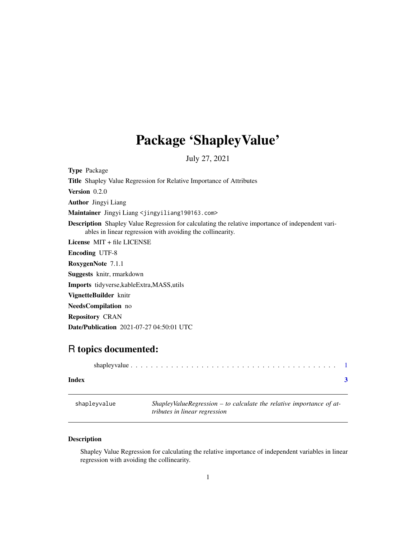## <span id="page-0-0"></span>Package 'ShapleyValue'

July 27, 2021

Type Package Title Shapley Value Regression for Relative Importance of Attributes Version 0.2.0 Author Jingyi Liang Maintainer Jingyi Liang <jingyiliang19@163.com> Description Shapley Value Regression for calculating the relative importance of independent variables in linear regression with avoiding the collinearity. License MIT + file LICENSE Encoding UTF-8 RoxygenNote 7.1.1 Suggests knitr, rmarkdown Imports tidyverse,kableExtra,MASS,utils VignetteBuilder knitr NeedsCompilation no Repository CRAN Date/Publication 2021-07-27 04:50:01 UTC

### R topics documented:

|       | shapley value $\ldots \ldots \ldots \ldots \ldots \ldots \ldots \ldots \ldots \ldots \ldots \ldots \ldots$ |  |
|-------|------------------------------------------------------------------------------------------------------------|--|
| Index |                                                                                                            |  |

shapleyvalue *ShapleyValueRegression – to calculate the relative importance of attributes in linear regression*

#### Description

Shapley Value Regression for calculating the relative importance of independent variables in linear regression with avoiding the collinearity.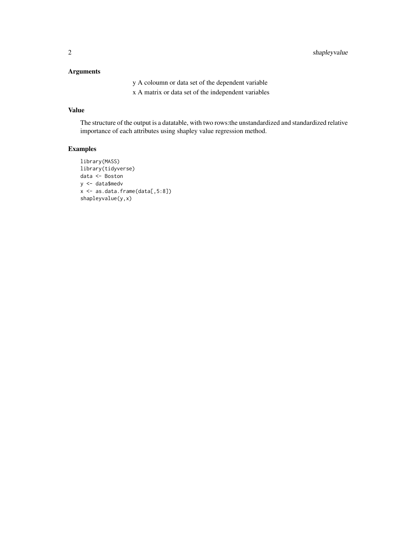#### Arguments

y A coloumn or data set of the dependent variable

x A matrix or data set of the independent variables

#### Value

The structure of the output is a datatable, with two rows:the unstandardized and standardized relative importance of each attributes using shapley value regression method.

#### Examples

```
library(MASS)
library(tidyverse)
data <- Boston
y <- data$medv
x \leftarrow as.data frame(data[, 5:8])shapleyvalue(y,x)
```